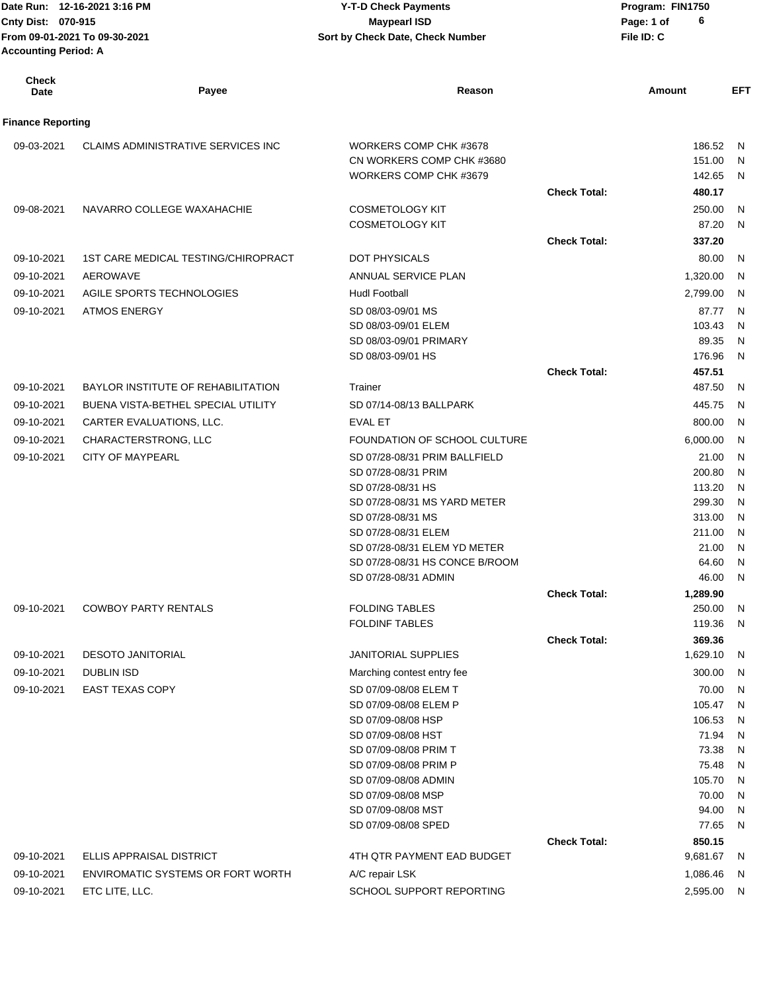| Date Run: 12-16-2021 3:16 PM                                 |       | <b>Y-T-D Check Payments</b>      | Program: FIN1750 |
|--------------------------------------------------------------|-------|----------------------------------|------------------|
| <b>Cnty Dist: 070-915</b>                                    |       | <b>Maypearl ISD</b>              | 6<br>Page: 1 of  |
| From 09-01-2021 To 09-30-2021<br><b>Accounting Period: A</b> |       | Sort by Check Date, Check Number | File ID: C       |
| Check<br>Date                                                | Payee | Reason                           | EF<br>Amount     |

| <b>Finance Reporting</b> |                                            |                                                     |                     |                 |           |
|--------------------------|--------------------------------------------|-----------------------------------------------------|---------------------|-----------------|-----------|
| 09-03-2021               | CLAIMS ADMINISTRATIVE SERVICES INC         | WORKERS COMP CHK #3678                              |                     | 186.52          | N         |
|                          |                                            | CN WORKERS COMP CHK #3680                           |                     | 151.00          | N         |
|                          |                                            | WORKERS COMP CHK #3679                              |                     | 142.65          | N         |
|                          |                                            |                                                     | <b>Check Total:</b> | 480.17          |           |
| 09-08-2021               | NAVARRO COLLEGE WAXAHACHIE                 | <b>COSMETOLOGY KIT</b>                              |                     | 250.00          | N         |
|                          |                                            | <b>COSMETOLOGY KIT</b>                              |                     | 87.20           | N         |
|                          |                                            |                                                     | <b>Check Total:</b> | 337.20          |           |
| 09-10-2021               | <b>1ST CARE MEDICAL TESTING/CHIROPRACT</b> | DOT PHYSICALS                                       |                     | 80.00           | N         |
| 09-10-2021               | <b>AEROWAVE</b>                            | ANNUAL SERVICE PLAN                                 |                     | 1,320.00        | N         |
| 09-10-2021               | AGILE SPORTS TECHNOLOGIES                  | <b>Hudl Football</b>                                |                     | 2,799.00        | N         |
| 09-10-2021               | <b>ATMOS ENERGY</b>                        | SD 08/03-09/01 MS                                   |                     | 87.77           | N         |
|                          |                                            | SD 08/03-09/01 ELEM                                 |                     | 103.43          | N         |
|                          |                                            | SD 08/03-09/01 PRIMARY                              |                     | 89.35           | N         |
|                          |                                            | SD 08/03-09/01 HS                                   |                     | 176.96          | N         |
|                          |                                            |                                                     | <b>Check Total:</b> | 457.51          |           |
| 09-10-2021               | <b>BAYLOR INSTITUTE OF REHABILITATION</b>  | Trainer                                             |                     | 487.50          | N         |
| 09-10-2021               | BUENA VISTA-BETHEL SPECIAL UTILITY         | SD 07/14-08/13 BALLPARK                             |                     | 445.75          | N         |
| 09-10-2021               | CARTER EVALUATIONS, LLC.                   | <b>EVAL ET</b>                                      |                     | 800.00          | N.        |
| 09-10-2021               | CHARACTERSTRONG, LLC                       | FOUNDATION OF SCHOOL CULTURE                        |                     | 6,000.00        | N         |
| 09-10-2021               | <b>CITY OF MAYPEARL</b>                    | SD 07/28-08/31 PRIM BALLFIELD                       |                     | 21.00           | N         |
|                          |                                            | SD 07/28-08/31 PRIM                                 |                     | 200.80          | N         |
|                          |                                            | SD 07/28-08/31 HS                                   |                     | 113.20          | N         |
|                          |                                            | SD 07/28-08/31 MS YARD METER                        |                     | 299.30          | N         |
|                          |                                            | SD 07/28-08/31 MS                                   |                     | 313.00          | N         |
|                          |                                            | SD 07/28-08/31 ELEM<br>SD 07/28-08/31 ELEM YD METER |                     | 211.00<br>21.00 | N<br>N    |
|                          |                                            | SD 07/28-08/31 HS CONCE B/ROOM                      |                     | 64.60           | N         |
|                          |                                            | SD 07/28-08/31 ADMIN                                |                     | 46.00           | N         |
|                          |                                            |                                                     | <b>Check Total:</b> | 1,289.90        |           |
| 09-10-2021               | <b>COWBOY PARTY RENTALS</b>                | <b>FOLDING TABLES</b>                               |                     | 250.00          | N         |
|                          |                                            | <b>FOLDINF TABLES</b>                               |                     | 119.36          | N         |
|                          |                                            |                                                     | <b>Check Total:</b> | 369.36          |           |
| 09-10-2021               | <b>DESOTO JANITORIAL</b>                   | <b>JANITORIAL SUPPLIES</b>                          |                     | 1,629.10        | N         |
| 09-10-2021               | <b>DUBLIN ISD</b>                          | Marching contest entry fee                          |                     | 300.00          | N         |
| 09-10-2021               | <b>EAST TEXAS COPY</b>                     | SD 07/09-08/08 ELEM T                               |                     | 70.00           | ${\sf N}$ |
|                          |                                            | SD 07/09-08/08 ELEM P                               |                     | 105.47          | ${\sf N}$ |
|                          |                                            | SD 07/09-08/08 HSP                                  |                     | 106.53          | ${\sf N}$ |
|                          |                                            | SD 07/09-08/08 HST                                  |                     | 71.94           | ${\sf N}$ |
|                          |                                            | SD 07/09-08/08 PRIM T                               |                     | 73.38           | ${\sf N}$ |
|                          |                                            | SD 07/09-08/08 PRIM P                               |                     | 75.48           | ${\sf N}$ |
|                          |                                            | SD 07/09-08/08 ADMIN                                |                     | 105.70          | ${\sf N}$ |
|                          |                                            | SD 07/09-08/08 MSP<br>SD 07/09-08/08 MST            |                     | 70.00<br>94.00  | N<br>N    |
|                          |                                            | SD 07/09-08/08 SPED                                 |                     | 77.65           | N         |
|                          |                                            |                                                     | <b>Check Total:</b> | 850.15          |           |
| 09-10-2021               | ELLIS APPRAISAL DISTRICT                   | 4TH QTR PAYMENT EAD BUDGET                          |                     | 9,681.67        | N         |
| 09-10-2021               | ENVIROMATIC SYSTEMS OR FORT WORTH          | A/C repair LSK                                      |                     | 1,086.46        | N         |
| 09-10-2021               | ETC LITE, LLC.                             | SCHOOL SUPPORT REPORTING                            |                     | 2,595.00        | N         |
|                          |                                            |                                                     |                     |                 |           |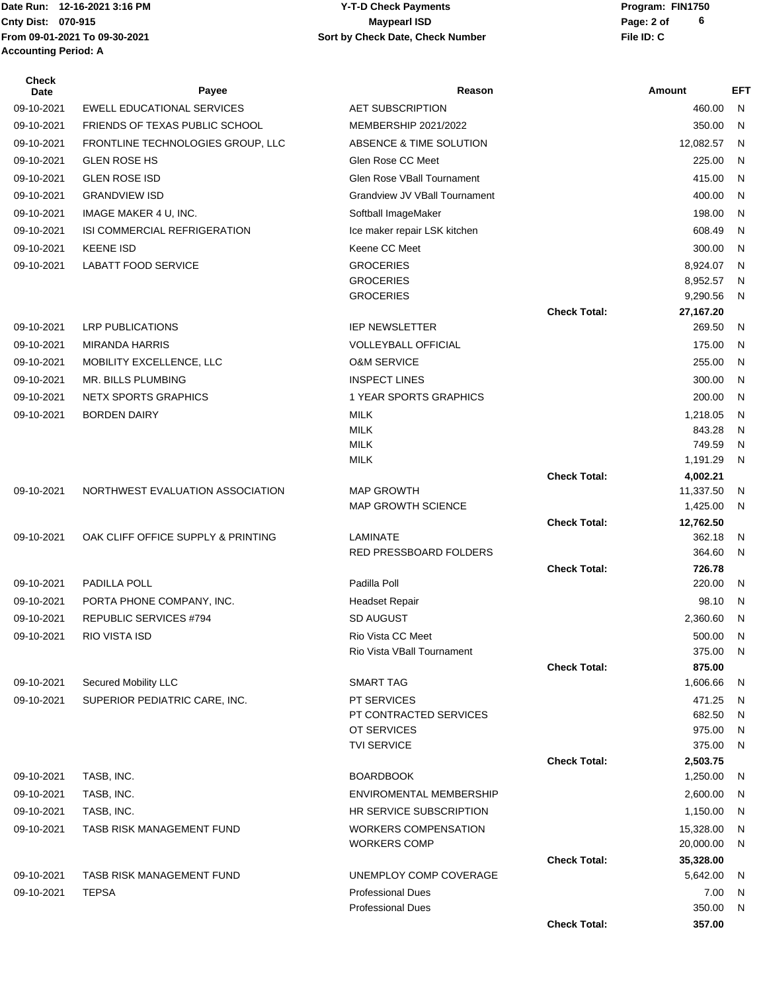**From 09-01-2021 To 09-30-2021 File ID: C Sort by Check Date, Check Number Accounting Period: A**

## **Date Run: Program: FIN1750 Cnty Dist:** 070-915 **Page: 2 of Page: 2 of Page: 2 of Page: 2 of Page: 2 of Y-T-D Check Payments 070-915 Maypearl ISD**

| <b>Check</b><br>Date | Payee                              | Reason                                               |                     | <b>Amount</b>       | EFT          |
|----------------------|------------------------------------|------------------------------------------------------|---------------------|---------------------|--------------|
| 09-10-2021           | <b>EWELL EDUCATIONAL SERVICES</b>  | <b>AET SUBSCRIPTION</b>                              |                     | 460.00              | N            |
| 09-10-2021           | FRIENDS OF TEXAS PUBLIC SCHOOL     | MEMBERSHIP 2021/2022                                 |                     | 350.00              | N            |
| 09-10-2021           | FRONTLINE TECHNOLOGIES GROUP, LLC  | ABSENCE & TIME SOLUTION                              |                     | 12,082.57           | - N          |
| 09-10-2021           | <b>GLEN ROSE HS</b>                | Glen Rose CC Meet                                    |                     | 225.00              | N            |
| 09-10-2021           | <b>GLEN ROSE ISD</b>               | <b>Glen Rose VBall Tournament</b>                    |                     | 415.00              | N            |
| 09-10-2021           | <b>GRANDVIEW ISD</b>               | Grandview JV VBall Tournament                        |                     | 400.00              | $\mathsf{N}$ |
| 09-10-2021           | IMAGE MAKER 4 U, INC.              | Softball ImageMaker                                  |                     | 198.00              | N            |
| 09-10-2021           | ISI COMMERCIAL REFRIGERATION       | Ice maker repair LSK kitchen                         |                     | 608.49              | N            |
| 09-10-2021           | <b>KEENE ISD</b>                   | Keene CC Meet                                        |                     | 300.00              | $\mathsf{N}$ |
| 09-10-2021           | <b>LABATT FOOD SERVICE</b>         | <b>GROCERIES</b>                                     |                     | 8,924.07            | N            |
|                      |                                    | <b>GROCERIES</b>                                     |                     | 8,952.57            | N            |
|                      |                                    | <b>GROCERIES</b>                                     |                     | 9,290.56            | N            |
| 09-10-2021           | <b>LRP PUBLICATIONS</b>            | <b>IEP NEWSLETTER</b>                                | <b>Check Total:</b> | 27,167.20<br>269.50 | N            |
| 09-10-2021           | <b>MIRANDA HARRIS</b>              | <b>VOLLEYBALL OFFICIAL</b>                           |                     | 175.00              | N            |
| 09-10-2021           | MOBILITY EXCELLENCE, LLC           | <b>O&amp;M SERVICE</b>                               |                     | 255.00              | N            |
| 09-10-2021           | MR. BILLS PLUMBING                 | <b>INSPECT LINES</b>                                 |                     | 300.00              | N            |
| 09-10-2021           | <b>NETX SPORTS GRAPHICS</b>        | 1 YEAR SPORTS GRAPHICS                               |                     | 200.00              | N            |
| 09-10-2021           | <b>BORDEN DAIRY</b>                | <b>MILK</b>                                          |                     | 1,218.05            | N            |
|                      |                                    | <b>MILK</b>                                          |                     | 843.28              | N            |
|                      |                                    | <b>MILK</b>                                          |                     | 749.59              | N            |
|                      |                                    | <b>MILK</b>                                          |                     | 1,191.29            | N            |
|                      |                                    |                                                      | <b>Check Total:</b> | 4,002.21            |              |
| 09-10-2021           | NORTHWEST EVALUATION ASSOCIATION   | <b>MAP GROWTH</b>                                    |                     | 11,337.50           | N            |
|                      |                                    | MAP GROWTH SCIENCE                                   |                     | 1,425.00            | N            |
| 09-10-2021           | OAK CLIFF OFFICE SUPPLY & PRINTING | LAMINATE                                             | <b>Check Total:</b> | 12,762.50<br>362.18 | N            |
|                      |                                    | RED PRESSBOARD FOLDERS                               |                     | 364.60              | N            |
|                      |                                    |                                                      | <b>Check Total:</b> | 726.78              |              |
| 09-10-2021           | PADILLA POLL                       | Padilla Poll                                         |                     | 220.00              | N            |
| 09-10-2021           | PORTA PHONE COMPANY, INC.          | <b>Headset Repair</b>                                |                     | 98.10               | N            |
| 09-10-2021           | <b>REPUBLIC SERVICES #794</b>      | SD AUGUST                                            |                     | 2,360.60            | N            |
| 09-10-2021           | RIO VISTA ISD                      | Rio Vista CC Meet                                    |                     | 500.00 N            |              |
|                      |                                    | Rio Vista VBall Tournament                           |                     | 375.00              | - N          |
|                      |                                    |                                                      | <b>Check Total:</b> | 875.00              |              |
| 09-10-2021           | Secured Mobility LLC               | <b>SMART TAG</b>                                     |                     | 1,606.66            | <sub>N</sub> |
| 09-10-2021           | SUPERIOR PEDIATRIC CARE, INC.      | PT SERVICES                                          |                     | 471.25              | N            |
|                      |                                    | PT CONTRACTED SERVICES<br>OT SERVICES                |                     | 682.50<br>975.00    | N<br>N       |
|                      |                                    | <b>TVI SERVICE</b>                                   |                     | 375.00              | N            |
|                      |                                    |                                                      | <b>Check Total:</b> | 2,503.75            |              |
| 09-10-2021           | TASB, INC.                         | <b>BOARDBOOK</b>                                     |                     | 1,250.00            | -N           |
| 09-10-2021           | TASB, INC.                         | <b>ENVIROMENTAL MEMBERSHIP</b>                       |                     | 2,600.00            | N            |
| 09-10-2021           | TASB, INC.                         | HR SERVICE SUBSCRIPTION                              |                     | 1,150.00            | -N           |
| 09-10-2021           | TASB RISK MANAGEMENT FUND          | <b>WORKERS COMPENSATION</b>                          |                     | 15,328.00           | N            |
|                      |                                    | <b>WORKERS COMP</b>                                  |                     | 20,000.00           | N            |
|                      |                                    |                                                      | <b>Check Total:</b> | 35,328.00           |              |
| 09-10-2021           | TASB RISK MANAGEMENT FUND          | UNEMPLOY COMP COVERAGE                               |                     | 5,642.00            | N            |
| 09-10-2021           | <b>TEPSA</b>                       | <b>Professional Dues</b><br><b>Professional Dues</b> |                     | 7.00<br>350.00      | N<br>N.      |
|                      |                                    |                                                      | <b>Check Total:</b> | 357.00              |              |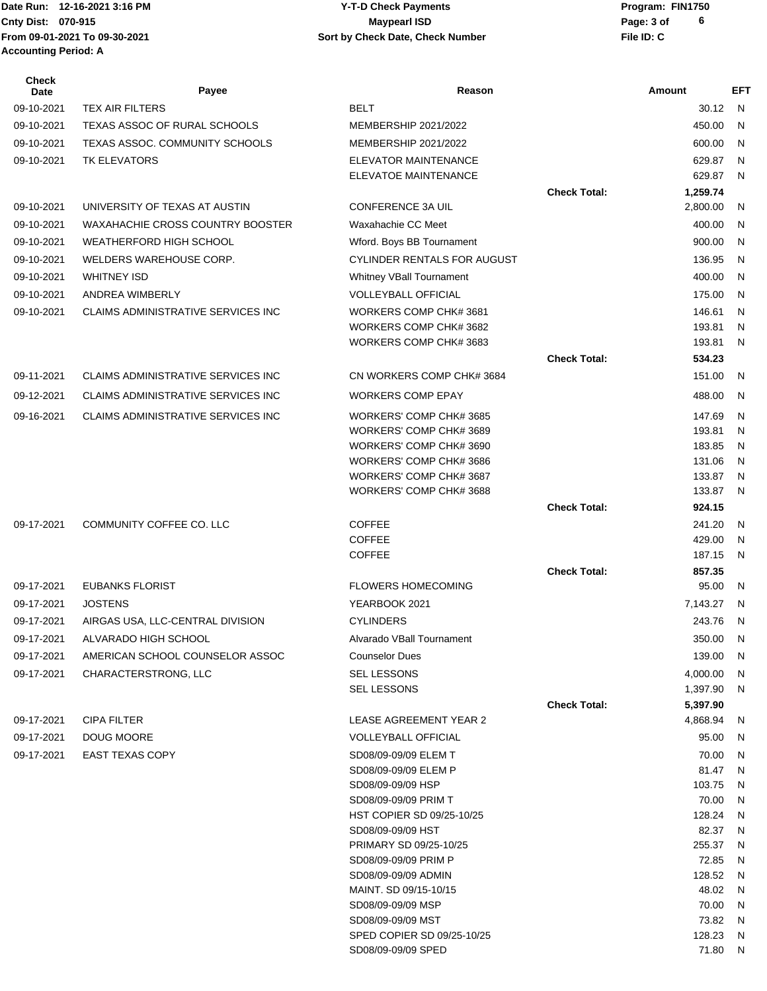**From 09-01-2021 To 09-30-2021 File ID: C Sort by Check Date, Check Number Accounting Period: A**

## **Date Run: Program: FIN1750 Cnty Dist:** 070-915 **Page: 3 of MaypearI ISD MaypearI ISD 12-15-20 Y-T-D Check Payments 070-915 Maypearl ISD**

| Check<br><b>Date</b> | Payee                              | Reason                                             |                     | Amount               | <b>EFT</b>   |
|----------------------|------------------------------------|----------------------------------------------------|---------------------|----------------------|--------------|
| 09-10-2021           | <b>TEX AIR FILTERS</b>             | <b>BELT</b>                                        |                     | 30.12                | $\mathsf{N}$ |
| 09-10-2021           | TEXAS ASSOC OF RURAL SCHOOLS       | MEMBERSHIP 2021/2022                               |                     | 450.00               | N            |
| 09-10-2021           | TEXAS ASSOC. COMMUNITY SCHOOLS     | MEMBERSHIP 2021/2022                               |                     | 600.00               | N            |
| 09-10-2021           | TK ELEVATORS                       | <b>ELEVATOR MAINTENANCE</b>                        |                     | 629.87               | N            |
|                      |                                    | ELEVATOE MAINTENANCE                               |                     | 629.87               | N            |
|                      |                                    |                                                    | <b>Check Total:</b> | 1,259.74             |              |
| 09-10-2021           | UNIVERSITY OF TEXAS AT AUSTIN      | <b>CONFERENCE 3A UIL</b>                           |                     | 2,800.00             | N            |
| 09-10-2021           | WAXAHACHIE CROSS COUNTRY BOOSTER   | Waxahachie CC Meet                                 |                     | 400.00               | N            |
| 09-10-2021           | WEATHERFORD HIGH SCHOOL            | Wford. Boys BB Tournament                          |                     | 900.00               | N            |
| 09-10-2021           | WELDERS WAREHOUSE CORP.            | <b>CYLINDER RENTALS FOR AUGUST</b>                 |                     | 136.95               | N            |
| 09-10-2021           | <b>WHITNEY ISD</b>                 | Whitney VBall Tournament                           |                     | 400.00               | N            |
| 09-10-2021           | ANDREA WIMBERLY                    | <b>VOLLEYBALL OFFICIAL</b>                         |                     | 175.00               | N            |
| 09-10-2021           | CLAIMS ADMINISTRATIVE SERVICES INC | WORKERS COMP CHK# 3681                             |                     | 146.61               | N            |
|                      |                                    | WORKERS COMP CHK# 3682                             |                     | 193.81               | N            |
|                      |                                    | WORKERS COMP CHK# 3683                             |                     | 193.81               | N            |
|                      |                                    |                                                    | <b>Check Total:</b> | 534.23               |              |
| 09-11-2021           | CLAIMS ADMINISTRATIVE SERVICES INC | CN WORKERS COMP CHK# 3684                          |                     | 151.00               | N            |
| 09-12-2021           | CLAIMS ADMINISTRATIVE SERVICES INC | <b>WORKERS COMP EPAY</b>                           |                     | 488.00               | N            |
| 09-16-2021           | CLAIMS ADMINISTRATIVE SERVICES INC | WORKERS' COMP CHK# 3685                            |                     | 147.69               | N            |
|                      |                                    | WORKERS' COMP CHK# 3689                            |                     | 193.81               | N            |
|                      |                                    | WORKERS' COMP CHK# 3690<br>WORKERS' COMP CHK# 3686 |                     | 183.85<br>131.06     | N<br>N       |
|                      |                                    | WORKERS' COMP CHK# 3687                            |                     | 133.87               | N            |
|                      |                                    | WORKERS' COMP CHK# 3688                            |                     | 133.87               | N            |
|                      |                                    |                                                    | <b>Check Total:</b> | 924.15               |              |
| 09-17-2021           | COMMUNITY COFFEE CO. LLC           | <b>COFFEE</b>                                      |                     | 241.20               | N            |
|                      |                                    | <b>COFFEE</b>                                      |                     | 429.00               | N            |
|                      |                                    | <b>COFFEE</b>                                      |                     | 187.15               | N            |
|                      |                                    |                                                    | <b>Check Total:</b> | 857.35               |              |
| 09-17-2021           | <b>EUBANKS FLORIST</b>             | <b>FLOWERS HOMECOMING</b>                          |                     | 95.00                | N            |
| 09-17-2021           | <b>JOSTENS</b>                     | YEARBOOK 2021                                      |                     | 7,143.27             | N            |
| 09-17-2021           | AIRGAS USA, LLC-CENTRAL DIVISION   | <b>CYLINDERS</b>                                   |                     | 243.76 N             |              |
| 09-17-2021           | ALVARADO HIGH SCHOOL               | Alvarado VBall Tournament                          |                     | 350.00 N             |              |
| 09-17-2021           | AMERICAN SCHOOL COUNSELOR ASSOC    | <b>Counselor Dues</b>                              |                     | 139.00               | N,           |
| 09-17-2021           | CHARACTERSTRONG, LLC               | <b>SEL LESSONS</b>                                 |                     | 4,000.00             | N            |
|                      |                                    | <b>SEL LESSONS</b>                                 | <b>Check Total:</b> | 1,397.90             | N            |
| 09-17-2021           | <b>CIPA FILTER</b>                 | <b>LEASE AGREEMENT YEAR 2</b>                      |                     | 5,397.90<br>4,868.94 | N            |
| 09-17-2021           | DOUG MOORE                         | <b>VOLLEYBALL OFFICIAL</b>                         |                     | 95.00                | N            |
| 09-17-2021           | <b>EAST TEXAS COPY</b>             | SD08/09-09/09 ELEM T                               |                     | 70.00                | N            |
|                      |                                    | SD08/09-09/09 ELEM P                               |                     | 81.47                | N            |
|                      |                                    | SD08/09-09/09 HSP                                  |                     | 103.75               | N            |
|                      |                                    | SD08/09-09/09 PRIM T                               |                     | 70.00                | N            |
|                      |                                    | HST COPIER SD 09/25-10/25                          |                     | 128.24               | N            |
|                      |                                    | SD08/09-09/09 HST                                  |                     | 82.37                | N            |
|                      |                                    | PRIMARY SD 09/25-10/25                             |                     | 255.37               | N            |
|                      |                                    | SD08/09-09/09 PRIM P<br>SD08/09-09/09 ADMIN        |                     | 72.85<br>128.52      | N<br>N       |
|                      |                                    | MAINT. SD 09/15-10/15                              |                     | 48.02                | N            |
|                      |                                    | SD08/09-09/09 MSP                                  |                     | 70.00                | N            |
|                      |                                    | SD08/09-09/09 MST                                  |                     | 73.82                | N            |
|                      |                                    | SPED COPIER SD 09/25-10/25                         |                     | 128.23               | N            |
|                      |                                    | SD08/09-09/09 SPED                                 |                     | 71.80 N              |              |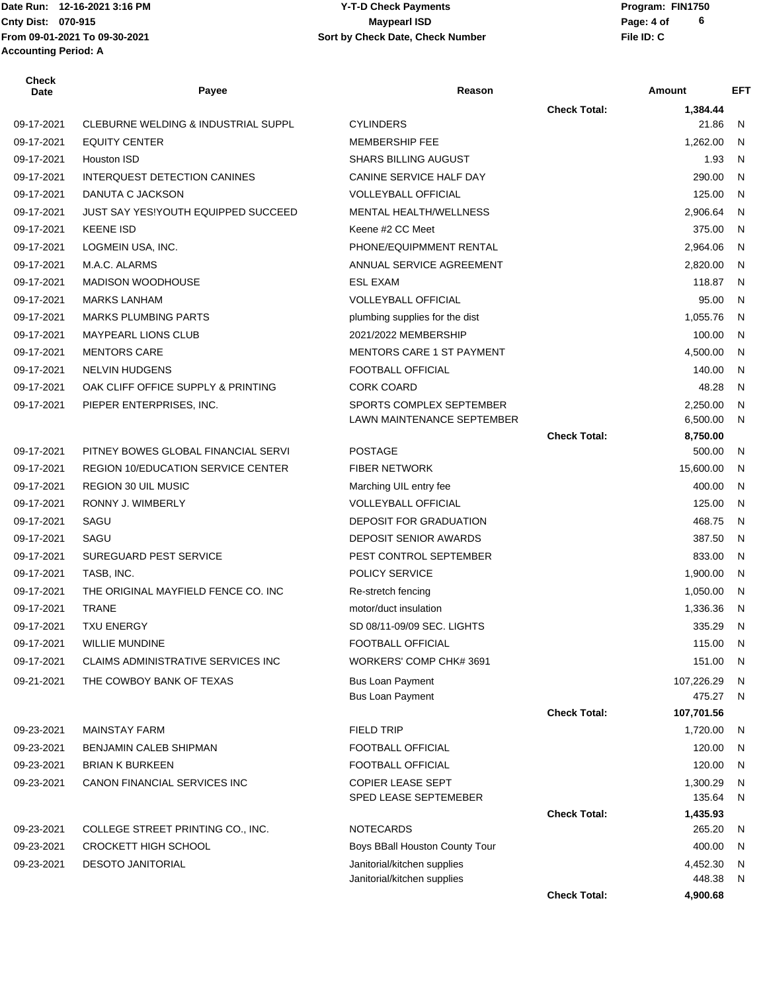| Check<br>Date | Payee                                          | Reason                            |                     | Amount     | EFT          |
|---------------|------------------------------------------------|-----------------------------------|---------------------|------------|--------------|
|               |                                                |                                   | <b>Check Total:</b> | 1,384.44   |              |
| 09-17-2021    | <b>CLEBURNE WELDING &amp; INDUSTRIAL SUPPL</b> | <b>CYLINDERS</b>                  |                     | 21.86      | N            |
| 09-17-2021    | <b>EQUITY CENTER</b>                           | <b>MEMBERSHIP FEE</b>             |                     | 1,262.00   | N.           |
| 09-17-2021    | Houston ISD                                    | <b>SHARS BILLING AUGUST</b>       |                     | 1.93       | N            |
| 09-17-2021    | INTERQUEST DETECTION CANINES                   | CANINE SERVICE HALF DAY           |                     | 290.00     | N            |
| 09-17-2021    | DANUTA C JACKSON                               | <b>VOLLEYBALL OFFICIAL</b>        |                     | 125.00     | N            |
| 09-17-2021    | <b>JUST SAY YES!YOUTH EQUIPPED SUCCEED</b>     | <b>MENTAL HEALTH/WELLNESS</b>     |                     | 2,906.64   | N            |
| 09-17-2021    | <b>KEENE ISD</b>                               | Keene #2 CC Meet                  |                     | 375.00     | N            |
| 09-17-2021    | LOGMEIN USA, INC.                              | PHONE/EQUIPMMENT RENTAL           |                     | 2,964.06   | N            |
| 09-17-2021    | M.A.C. ALARMS                                  | ANNUAL SERVICE AGREEMENT          |                     | 2,820.00   | N.           |
| 09-17-2021    | <b>MADISON WOODHOUSE</b>                       | <b>ESL EXAM</b>                   |                     | 118.87     | N            |
| 09-17-2021    | <b>MARKS LANHAM</b>                            | <b>VOLLEYBALL OFFICIAL</b>        |                     | 95.00      | N.           |
| 09-17-2021    | <b>MARKS PLUMBING PARTS</b>                    | plumbing supplies for the dist    |                     | 1,055.76   | N            |
| 09-17-2021    | <b>MAYPEARL LIONS CLUB</b>                     | 2021/2022 MEMBERSHIP              |                     | 100.00     | N            |
| 09-17-2021    | <b>MENTORS CARE</b>                            | <b>MENTORS CARE 1 ST PAYMENT</b>  |                     | 4,500.00   | N            |
| 09-17-2021    | <b>NELVIN HUDGENS</b>                          | FOOTBALL OFFICIAL                 |                     | 140.00     | N            |
| 09-17-2021    | OAK CLIFF OFFICE SUPPLY & PRINTING             | <b>CORK COARD</b>                 |                     | 48.28      | N            |
| 09-17-2021    | PIEPER ENTERPRISES, INC.                       | SPORTS COMPLEX SEPTEMBER          |                     | 2.250.00   | $\mathsf{N}$ |
|               |                                                | <b>LAWN MAINTENANCE SEPTEMBER</b> |                     | 6,500.00   | N            |
|               |                                                |                                   | <b>Check Total:</b> | 8,750.00   |              |
| 09-17-2021    | PITNEY BOWES GLOBAL FINANCIAL SERVI            | <b>POSTAGE</b>                    |                     | 500.00     | N            |
| 09-17-2021    | <b>REGION 10/EDUCATION SERVICE CENTER</b>      | <b>FIBER NETWORK</b>              |                     | 15,600.00  | N            |
| 09-17-2021    | <b>REGION 30 UIL MUSIC</b>                     | Marching UIL entry fee            |                     | 400.00     | N.           |
| 09-17-2021    | RONNY J. WIMBERLY                              | <b>VOLLEYBALL OFFICIAL</b>        |                     | 125.00     | N            |
| 09-17-2021    | SAGU                                           | DEPOSIT FOR GRADUATION            |                     | 468.75     | N            |
| 09-17-2021    | SAGU                                           | <b>DEPOSIT SENIOR AWARDS</b>      |                     | 387.50     | N.           |
| 09-17-2021    | SUREGUARD PEST SERVICE                         | PEST CONTROL SEPTEMBER            |                     | 833.00     | $\mathsf{N}$ |
| 09-17-2021    | TASB, INC.                                     | POLICY SERVICE                    |                     | 1,900.00   | N            |
| 09-17-2021    | THE ORIGINAL MAYFIELD FENCE CO. INC            | Re-stretch fencing                |                     | 1,050.00   | N            |
| 09-17-2021    | <b>TRANE</b>                                   | motor/duct insulation             |                     | 1,336.36   | N            |
| 09-17-2021    | <b>TXU ENERGY</b>                              | SD 08/11-09/09 SEC. LIGHTS        |                     | 335.29     | N            |
| 09-17-2021    | <b>WILLIE MUNDINE</b>                          | <b>FOOTBALL OFFICIAL</b>          |                     | 115.00     | - N          |
| 09-17-2021    | CLAIMS ADMINISTRATIVE SERVICES INC             | WORKERS' COMP CHK# 3691           |                     | 151.00     | N.           |
| 09-21-2021    | THE COWBOY BANK OF TEXAS                       | Bus Loan Payment                  |                     | 107,226.29 | N            |
|               |                                                | Bus Loan Payment                  |                     | 475.27     | N            |
|               |                                                |                                   | <b>Check Total:</b> | 107,701.56 |              |
| 09-23-2021    | <b>MAINSTAY FARM</b>                           | <b>FIELD TRIP</b>                 |                     | 1.720.00   | N,           |
| 09-23-2021    | BENJAMIN CALEB SHIPMAN                         | FOOTBALL OFFICIAL                 |                     | 120.00     | N            |
| 09-23-2021    | <b>BRIAN K BURKEEN</b>                         | FOOTBALL OFFICIAL                 |                     | 120.00     | N            |
| 09-23-2021    | CANON FINANCIAL SERVICES INC                   | <b>COPIER LEASE SEPT</b>          |                     | 1,300.29   | N            |
|               |                                                | SPED LEASE SEPTEMEBER             |                     | 135.64     | N            |
|               |                                                |                                   | <b>Check Total:</b> | 1,435.93   |              |
| 09-23-2021    | COLLEGE STREET PRINTING CO., INC.              | <b>NOTECARDS</b>                  |                     | 265.20     | N            |
| 09-23-2021    | CROCKETT HIGH SCHOOL                           | Boys BBall Houston County Tour    |                     | 400.00     | N            |
| 09-23-2021    | <b>DESOTO JANITORIAL</b>                       | Janitorial/kitchen supplies       |                     | 4,452.30   | N            |
|               |                                                | Janitorial/kitchen supplies       |                     | 448.38     | N            |
|               |                                                |                                   | <b>Check Total:</b> | 4,900.68   |              |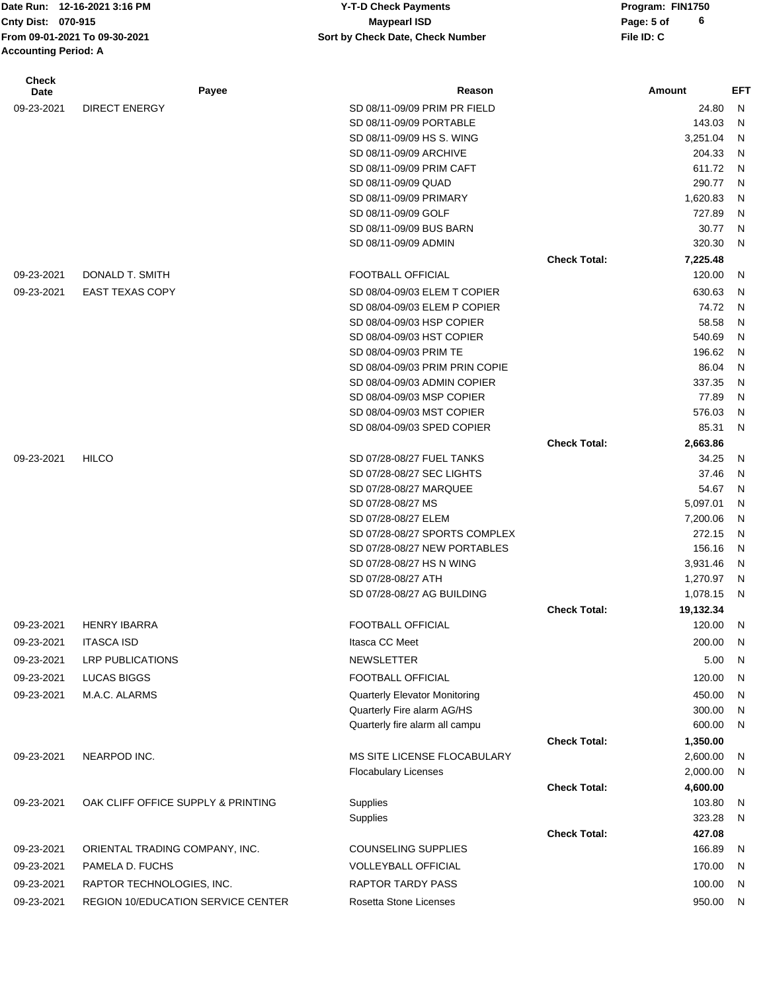**Date Run: Program: FIN1750 Cnty Dist:** 070-915 **Page:** 5 of **From 09-01-2021 To 09-30-2021 File ID: C Sort by Check Date, Check Number 12-15-20 Y-T-D Check Payments 070-915 Maypearl ISD Accounting Period: A**

| <b>Check</b><br>Date | Payee                                     | Reason                               |                     | Amount    | <b>EFT</b>   |
|----------------------|-------------------------------------------|--------------------------------------|---------------------|-----------|--------------|
| 09-23-2021           | <b>DIRECT ENERGY</b>                      | SD 08/11-09/09 PRIM PR FIELD         |                     | 24.80     | $\mathsf{N}$ |
|                      |                                           | SD 08/11-09/09 PORTABLE              |                     | 143.03    | N            |
|                      |                                           | SD 08/11-09/09 HS S. WING            |                     | 3,251.04  | N            |
|                      |                                           | SD 08/11-09/09 ARCHIVE               |                     | 204.33    | N            |
|                      |                                           | SD 08/11-09/09 PRIM CAFT             |                     | 611.72    | N            |
|                      |                                           | SD 08/11-09/09 QUAD                  |                     | 290.77    | N            |
|                      |                                           | SD 08/11-09/09 PRIMARY               |                     | 1,620.83  | N            |
|                      |                                           | SD 08/11-09/09 GOLF                  |                     | 727.89    | N            |
|                      |                                           | SD 08/11-09/09 BUS BARN              |                     | 30.77     | N            |
|                      |                                           | SD 08/11-09/09 ADMIN                 |                     | 320.30    | N            |
|                      |                                           |                                      | <b>Check Total:</b> | 7,225.48  |              |
| 09-23-2021           | DONALD T. SMITH                           | <b>FOOTBALL OFFICIAL</b>             |                     | 120.00    | N            |
| 09-23-2021           | <b>EAST TEXAS COPY</b>                    | SD 08/04-09/03 ELEM T COPIER         |                     | 630.63    | N            |
|                      |                                           | SD 08/04-09/03 ELEM P COPIER         |                     | 74.72     | N            |
|                      |                                           | SD 08/04-09/03 HSP COPIER            |                     | 58.58     | N            |
|                      |                                           | SD 08/04-09/03 HST COPIER            |                     | 540.69    | N            |
|                      |                                           | SD 08/04-09/03 PRIM TE               |                     | 196.62    | N            |
|                      |                                           | SD 08/04-09/03 PRIM PRIN COPIE       |                     | 86.04     | N            |
|                      |                                           | SD 08/04-09/03 ADMIN COPIER          |                     | 337.35    | N            |
|                      |                                           | SD 08/04-09/03 MSP COPIER            |                     | 77.89     | N            |
|                      |                                           | SD 08/04-09/03 MST COPIER            |                     | 576.03    | N            |
|                      |                                           | SD 08/04-09/03 SPED COPIER           |                     | 85.31     | N            |
|                      |                                           |                                      | <b>Check Total:</b> | 2,663.86  |              |
| 09-23-2021           | <b>HILCO</b>                              | SD 07/28-08/27 FUEL TANKS            |                     | 34.25     | N            |
|                      |                                           | SD 07/28-08/27 SEC LIGHTS            |                     | 37.46     | N            |
|                      |                                           | SD 07/28-08/27 MARQUEE               |                     | 54.67     | N            |
|                      |                                           | SD 07/28-08/27 MS                    |                     | 5,097.01  | N            |
|                      |                                           | SD 07/28-08/27 ELEM                  |                     | 7,200.06  | N            |
|                      |                                           | SD 07/28-08/27 SPORTS COMPLEX        |                     | 272.15    | N            |
|                      |                                           | SD 07/28-08/27 NEW PORTABLES         |                     | 156.16    | N            |
|                      |                                           | SD 07/28-08/27 HS N WING             |                     | 3,931.46  | N            |
|                      |                                           | SD 07/28-08/27 ATH                   |                     | 1,270.97  | N            |
|                      |                                           | SD 07/28-08/27 AG BUILDING           |                     | 1,078.15  | N            |
|                      |                                           |                                      | <b>Check Total:</b> | 19,132.34 |              |
| 09-23-2021           | <b>HENRY IBARRA</b>                       | <b>FOOTBALL OFFICIAL</b>             |                     | 120.00    | N            |
| 09-23-2021           | <b>ITASCA ISD</b>                         | Itasca CC Meet                       |                     | 200.00    | N            |
| 09-23-2021           | <b>LRP PUBLICATIONS</b>                   | <b>NEWSLETTER</b>                    |                     | 5.00      | <sub>N</sub> |
| 09-23-2021           | LUCAS BIGGS                               | FOOTBALL OFFICIAL                    |                     | 120.00    | N            |
| 09-23-2021           | M.A.C. ALARMS                             | <b>Quarterly Elevator Monitoring</b> |                     | 450.00    | N            |
|                      |                                           | Quarterly Fire alarm AG/HS           |                     | 300.00    | N            |
|                      |                                           | Quarterly fire alarm all campu       |                     | 600.00    | N            |
|                      |                                           |                                      | <b>Check Total:</b> | 1,350.00  |              |
| 09-23-2021           | NEARPOD INC.                              | MS SITE LICENSE FLOCABULARY          |                     | 2,600.00  | N            |
|                      |                                           | <b>Flocabulary Licenses</b>          |                     | 2,000.00  | N            |
|                      |                                           |                                      | <b>Check Total:</b> | 4,600.00  |              |
| 09-23-2021           | OAK CLIFF OFFICE SUPPLY & PRINTING        | Supplies                             |                     | 103.80    | N            |
|                      |                                           | Supplies                             |                     | 323.28    | N            |
|                      |                                           |                                      | <b>Check Total:</b> | 427.08    |              |
| 09-23-2021           | ORIENTAL TRADING COMPANY, INC.            | <b>COUNSELING SUPPLIES</b>           |                     | 166.89    | N            |
| 09-23-2021           | PAMELA D. FUCHS                           | <b>VOLLEYBALL OFFICIAL</b>           |                     | 170.00    | N            |
| 09-23-2021           | RAPTOR TECHNOLOGIES, INC.                 | <b>RAPTOR TARDY PASS</b>             |                     | 100.00    | N            |
| 09-23-2021           | <b>REGION 10/EDUCATION SERVICE CENTER</b> | Rosetta Stone Licenses               |                     | 950.00    | N,           |